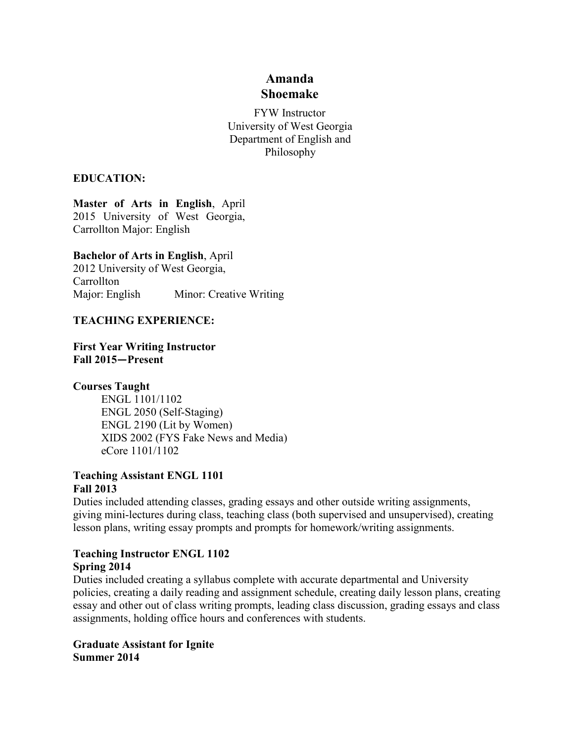# **Amanda Shoemake**

FYW Instructor University of West Georgia Department of English and Philosophy

#### **EDUCATION:**

**Master of Arts in English**, April 2015 University of West Georgia, Carrollton Major: English

**Bachelor of Arts in English**, April

2012 University of West Georgia, **Carrollton** Major: English Minor: Creative Writing

#### **TEACHING EXPERIENCE:**

**First Year Writing Instructor Fall 2015—Present**

## **Courses Taught**

ENGL 1101/1102 ENGL 2050 (Self-Staging) ENGL 2190 (Lit by Women) XIDS 2002 (FYS Fake News and Media) eCore 1101/1102

#### **Teaching Assistant ENGL 1101 Fall 2013**

Duties included attending classes, grading essays and other outside writing assignments, giving mini-lectures during class, teaching class (both supervised and unsupervised), creating lesson plans, writing essay prompts and prompts for homework/writing assignments.

#### **Teaching Instructor ENGL 1102 Spring 2014**

Duties included creating a syllabus complete with accurate departmental and University policies, creating a daily reading and assignment schedule, creating daily lesson plans, creating essay and other out of class writing prompts, leading class discussion, grading essays and class assignments, holding office hours and conferences with students.

**Graduate Assistant for Ignite Summer 2014**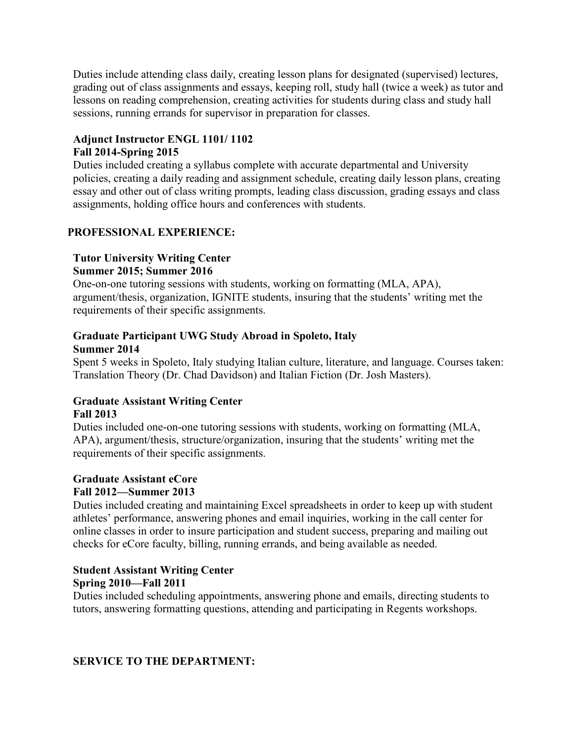Duties include attending class daily, creating lesson plans for designated (supervised) lectures, grading out of class assignments and essays, keeping roll, study hall (twice a week) as tutor and lessons on reading comprehension, creating activities for students during class and study hall sessions, running errands for supervisor in preparation for classes.

## **Adjunct Instructor ENGL 1101/ 1102**

## **Fall 2014-Spring 2015**

Duties included creating a syllabus complete with accurate departmental and University policies, creating a daily reading and assignment schedule, creating daily lesson plans, creating essay and other out of class writing prompts, leading class discussion, grading essays and class assignments, holding office hours and conferences with students.

## **PROFESSIONAL EXPERIENCE:**

#### **Tutor University Writing Center Summer 2015; Summer 2016**

One-on-one tutoring sessions with students, working on formatting (MLA, APA), argument/thesis, organization, IGNITE students, insuring that the students' writing met the requirements of their specific assignments.

#### **Graduate Participant UWG Study Abroad in Spoleto, Italy Summer 2014**

Spent 5 weeks in Spoleto, Italy studying Italian culture, literature, and language. Courses taken: Translation Theory (Dr. Chad Davidson) and Italian Fiction (Dr. Josh Masters).

## **Graduate Assistant Writing Center Fall 2013**

Duties included one-on-one tutoring sessions with students, working on formatting (MLA, APA), argument/thesis, structure/organization, insuring that the students' writing met the requirements of their specific assignments.

# **Graduate Assistant eCore**

## **Fall 2012—Summer 2013**

Duties included creating and maintaining Excel spreadsheets in order to keep up with student athletes' performance, answering phones and email inquiries, working in the call center for online classes in order to insure participation and student success, preparing and mailing out checks for eCore faculty, billing, running errands, and being available as needed.

# **Student Assistant Writing Center Spring 2010—Fall 2011**

Duties included scheduling appointments, answering phone and emails, directing students to tutors, answering formatting questions, attending and participating in Regents workshops.

## **SERVICE TO THE DEPARTMENT:**